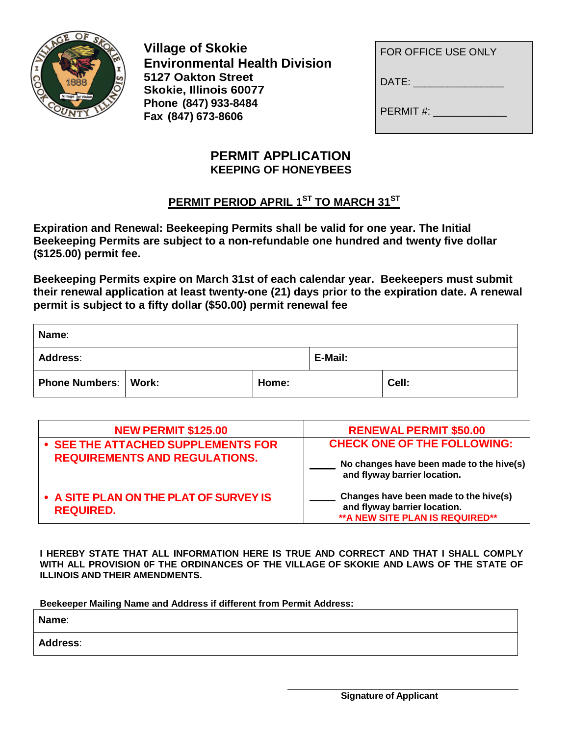

**Village of Skokie Environmental Health Division 5127 Oakton Street Skokie, Illinois 60077 Phone (847) 933-8484 Fax (847) 673-8606**

| FOR OFFICE USE ONLY    |  |
|------------------------|--|
| $\mathsf{DATE:}\_\!\_$ |  |
| PERMIT #:              |  |

### **PERMIT APPLICATION KEEPING OF HONEYBEES**

## **PERMIT PERIOD APRIL 1ST TO MARCH 31ST**

**Expiration and Renewal: Beekeeping Permits shall be valid for one year. The Initial Beekeeping Permits are subject to a non-refundable one hundred and twenty five dollar (\$125.00) permit fee.**

**Beekeeping Permits expire on March 31st of each calendar year. Beekeepers must submit their renewal application at least twenty-one (21) days prior to the expiration date. A renewal permit is subject to a fifty dollar (\$50.00) permit renewal fee**

| Name:                         |  |       |         |       |  |  |
|-------------------------------|--|-------|---------|-------|--|--|
| <b>Address:</b>               |  |       | E-Mail: |       |  |  |
| <b>Phone Numbers:   Work:</b> |  | Home: |         | Cell: |  |  |

| <b>NEW PERMIT \$125.00</b>                                 | <b>RENEWAL PERMIT \$50.00</b>                                                                             |
|------------------------------------------------------------|-----------------------------------------------------------------------------------------------------------|
| • SEE THE ATTACHED SUPPLEMENTS FOR                         | <b>CHECK ONE OF THE FOLLOWING:</b>                                                                        |
| <b>REQUIREMENTS AND REGULATIONS.</b>                       | No changes have been made to the hive(s)<br>and flyway barrier location.                                  |
| • A SITE PLAN ON THE PLAT OF SURVEY IS<br><b>REQUIRED.</b> | Changes have been made to the hive(s)<br>and flyway barrier location.<br>** A NEW SITE PLAN IS REQUIRED** |

**I HEREBY STATE THAT ALL INFORMATION HERE IS TRUE AND CORRECT AND THAT I SHALL COMPLY WITH ALL PROVISION 0F THE ORDINANCES OF THE VILLAGE OF SKOKIE AND LAWS OF THE STATE OF ILLINOIS AND THEIR AMENDMENTS.**

**Beekeeper Mailing Name and Address if different from Permit Address:**

**Name**:

**Address**: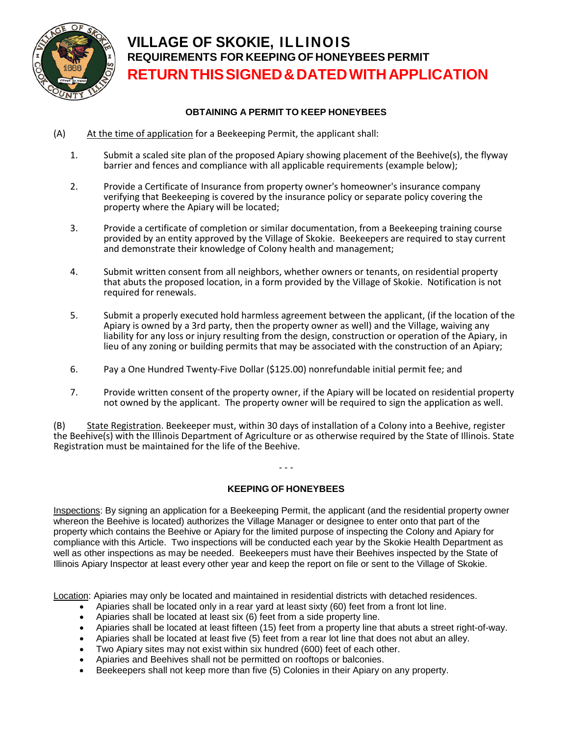

## **VILLAGE OF SKOKIE, ILLINOIS REQUIREMENTS FOR KEEPING OF HONEYBEES PERMIT RETURNTHISSIGNED&DATEDWITHAPPLICATION**

#### **OBTAINING A PERMIT TO KEEP HONEYBEES**

- (A) At the time of application for a Beekeeping Permit, the applicant shall:
	- 1. Submit a scaled site plan of the proposed Apiary showing placement of the Beehive(s), the flyway barrier and fences and compliance with all applicable requirements (example below);
	- 2. Provide a Certificate of Insurance from property owner's homeowner's insurance company verifying that Beekeeping is covered by the insurance policy or separate policy covering the property where the Apiary will be located;
	- 3. Provide a certificate of completion or similar documentation, from a Beekeeping training course provided by an entity approved by the Village of Skokie. Beekeepers are required to stay current and demonstrate their knowledge of Colony health and management;
	- 4. Submit written consent from all neighbors, whether owners or tenants, on residential property that abuts the proposed location, in a form provided by the Village of Skokie. Notification is not required for renewals.
	- 5. Submit a properly executed hold harmless agreement between the applicant, (if the location of the Apiary is owned by a 3rd party, then the property owner as well) and the Village, waiving any liability for any loss or injury resulting from the design, construction or operation of the Apiary, in lieu of any zoning or building permits that may be associated with the construction of an Apiary;
	- 6. Pay a One Hundred Twenty-Five Dollar (\$125.00) nonrefundable initial permit fee; and
	- 7. Provide written consent of the property owner, if the Apiary will be located on residential property not owned by the applicant. The property owner will be required to sign the application as well.

(B) State Registration. Beekeeper must, within 30 days of installation of a Colony into a Beehive, register the Beehive(s) with the Illinois Department of Agriculture or as otherwise required by the State of Illinois. State Registration must be maintained for the life of the Beehive.

#### **KEEPING OF HONEYBEES**

- - -

Inspections: By signing an application for a Beekeeping Permit, the applicant (and the residential property owner whereon the Beehive is located) authorizes the Village Manager or designee to enter onto that part of the property which contains the Beehive or Apiary for the limited purpose of inspecting the Colony and Apiary for compliance with this Article. Two inspections will be conducted each year by the Skokie Health Department as well as other inspections as may be needed. Beekeepers must have their Beehives inspected by the State of Illinois Apiary Inspector at least every other year and keep the report on file or sent to the Village of Skokie.

Location: Apiaries may only be located and maintained in residential districts with detached residences.

- Apiaries shall be located only in a rear yard at least sixty (60) feet from a front lot line.
- Apiaries shall be located at least six (6) feet from a side property line.
- Apiaries shall be located at least fifteen (15) feet from a property line that abuts a street right-of-way.
	- Apiaries shall be located at least five (5) feet from a rear lot line that does not abut an alley.
- Two Apiary sites may not exist within six hundred (600) feet of each other.
- Apiaries and Beehives shall not be permitted on rooftops or balconies.
- Beekeepers shall not keep more than five (5) Colonies in their Apiary on any property.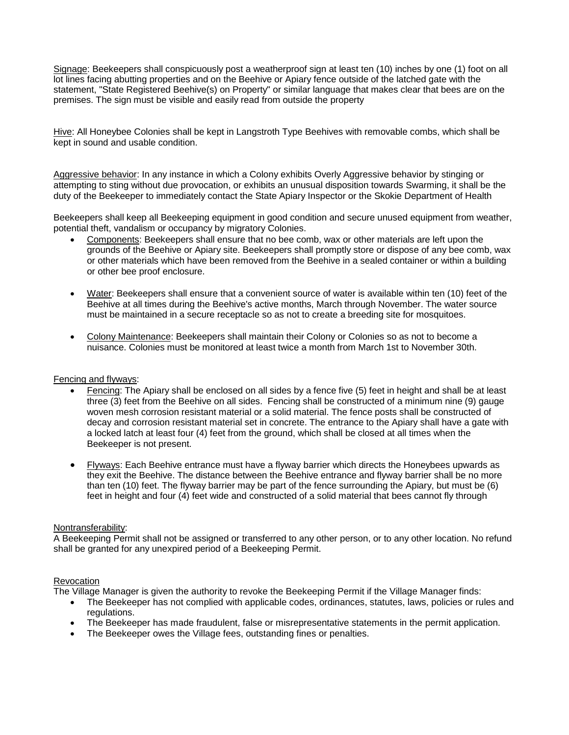Signage: Beekeepers shall conspicuously post a weatherproof sign at least ten (10) inches by one (1) foot on all lot lines facing abutting properties and on the Beehive or Apiary fence outside of the latched gate with the statement, "State Registered Beehive(s) on Property" or similar language that makes clear that bees are on the premises. The sign must be visible and easily read from outside the property

Hive: All Honeybee Colonies shall be kept in Langstroth Type Beehives with removable combs, which shall be kept in sound and usable condition.

Aggressive behavior: In any instance in which a Colony exhibits Overly Aggressive behavior by stinging or attempting to sting without due provocation, or exhibits an unusual disposition towards Swarming, it shall be the duty of the Beekeeper to immediately contact the State Apiary Inspector or the Skokie Department of Health

Beekeepers shall keep all Beekeeping equipment in good condition and secure unused equipment from weather, potential theft, vandalism or occupancy by migratory Colonies.

- Components: Beekeepers shall ensure that no bee comb, wax or other materials are left upon the grounds of the Beehive or Apiary site. Beekeepers shall promptly store or dispose of any bee comb, wax or other materials which have been removed from the Beehive in a sealed container or within a building or other bee proof enclosure.
- Water: Beekeepers shall ensure that a convenient source of water is available within ten (10) feet of the Beehive at all times during the Beehive's active months, March through November. The water source must be maintained in a secure receptacle so as not to create a breeding site for mosquitoes.
- Colony Maintenance: Beekeepers shall maintain their Colony or Colonies so as not to become a nuisance. Colonies must be monitored at least twice a month from March 1st to November 30th.

#### Fencing and flyways:

- Fencing: The Apiary shall be enclosed on all sides by a fence five (5) feet in height and shall be at least three (3) feet from the Beehive on all sides. Fencing shall be constructed of a minimum nine (9) gauge woven mesh corrosion resistant material or a solid material. The fence posts shall be constructed of decay and corrosion resistant material set in concrete. The entrance to the Apiary shall have a gate with a locked latch at least four (4) feet from the ground, which shall be closed at all times when the Beekeeper is not present.
- Flyways: Each Beehive entrance must have a flyway barrier which directs the Honeybees upwards as they exit the Beehive. The distance between the Beehive entrance and flyway barrier shall be no more than ten (10) feet. The flyway barrier may be part of the fence surrounding the Apiary, but must be (6) feet in height and four (4) feet wide and constructed of a solid material that bees cannot fly through

#### Nontransferability:

A Beekeeping Permit shall not be assigned or transferred to any other person, or to any other location. No refund shall be granted for any unexpired period of a Beekeeping Permit.

#### Revocation

The Village Manager is given the authority to revoke the Beekeeping Permit if the Village Manager finds:

- The Beekeeper has not complied with applicable codes, ordinances, statutes, laws, policies or rules and regulations.
- The Beekeeper has made fraudulent, false or misrepresentative statements in the permit application.
- The Beekeeper owes the Village fees, outstanding fines or penalties.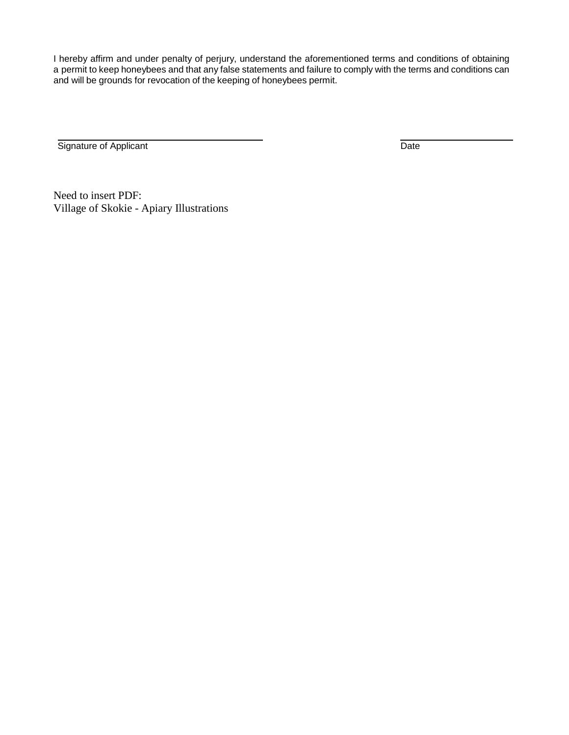I hereby affirm and under penalty of perjury, understand the aforementioned terms and conditions of obtaining a permit to keep honeybees and that any false statements and failure to comply with the terms and conditions can and will be grounds for revocation of the keeping of honeybees permit.

Signature of Applicant Date

Need to insert PDF: Village of Skokie - Apiary Illustrations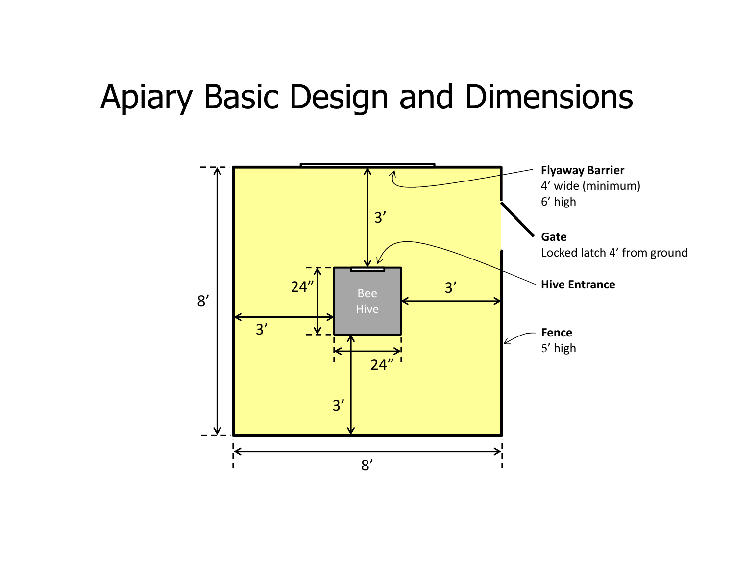## Apiary Basic Design and Dimensions